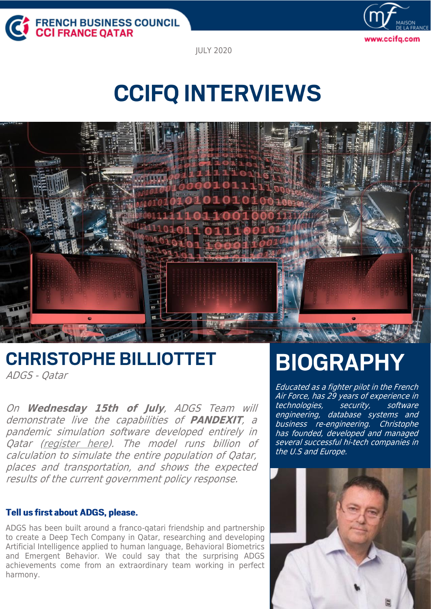



JULY [2020](https://www.ccifq.com/en.html)

# **CCIFQ INTERVIEWS**



## **CHRISTOPHE BILLIOTTET**

ADGS - Qatar

On **Wednesday 15th of July**, ADGS Team will demonstrate live the capabilities of **PANDEXIT**, <sup>a</sup> pandemic simulation software developed entirely in Qatar [\(register here\)](https://www.ccifq.com/en/events/whats-next/event-details/event/webinar-covid-19-simulations.html). The model runs billion of calculation to simulate the entire population of Qatar, places and transportation, and shows the expected results of the current government policy response.

## Tell us first about ADGS, please.

ADGS has been built around a franco-qatari friendship and partnership to create a Deep Tech Company in Qatar, researching and developing Artificial Intelligence applied to human language, Behavioral Biometrics and Emergent Behavior. We could say that the surprising ADGS achievements come from an extraordinary team working in perfect harmony.

## **BIOGRAPHY**

Educated as a fighter pilot in the French Air Force, has 29 years of experience in technologies, security, software engineering, database systems and business re-engineering. Christophe has founded, developed and managed several successful hi-tech companies in the U.S and Europe.

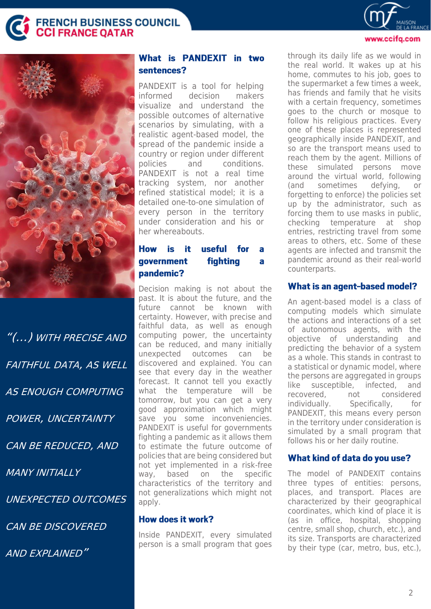FRENCH BUSINESS COUNCIL<br><mark>CCI</mark> FRANCE QATAR



"(…) WITH PRECISE AND FAITHFUL DATA, AS WELL AS ENOUGH COMPUTING POWER, UNCERTAINTY CAN BE REDUCED, AND MANY INITIAI I Y UNEXPECTED OUTCOMES CAN BE DISCOVERED AND EXPLAINED"

## What is PANDEXIT in two sentences?

PANDEXIT is a tool for helping informed decision makers visualize and understand the possible outcomes of alternative scenarios by simulating, with a realistic agent-based model, the spread of the pandemic inside a country or region under different policies and conditions. PANDEXIT is not a real time tracking system, nor another refined statistical model; it is a detailed one-to-one simulation of every person in the territory under consideration and his or her whereabouts.

#### useful **How** is it. for a fighting government  $\overline{\mathbf{a}}$ pandemic?

Decision making is not about the past. It is about the future, and the future cannot be known with certainty. However, with precise and faithful data, as well as enough computing power, the uncertainty can be reduced, and many initially unexpected outcomes can be discovered and explained. You can see that every day in the weather forecast. It cannot tell you exactly what the temperature will be tomorrow, but you can get a very good approximation which might save you some inconveniencies. PANDEXIT is useful for governments fighting a pandemic as it allows them to estimate the future outcome of policies that are being considered but not yet implemented in a risk-free way, based on the specific characteristics of the territory and not generalizations which might not apply.

## **How does it work?**

Inside PANDEXIT, every simulated person is a small program that goes

through its daily life as we would in the real world. It wakes up at his home, commutes to his job, goes to the supermarket a few times a week, has friends and family that he visits with a certain frequency, sometimes goes to the church or mosque to follow his religious practices. Every one of these places is represented geographically inside PANDEXIT, and so are the transport means used to reach them by the agent. Millions of these simulated persons move around the virtual world, following (and sometimes defying, or forgetting to enforce) the policies set up by the administrator, such as forcing them to use masks in public, checking temperature at shop entries, restricting travel from some areas to others, etc. Some of these agents are infected and transmit the pandemic around as their real-world counterparts.

www.ccifa.com

### What is an agent-based model?

An agent-based model is a class of computing models which simulate the actions and interactions of a set of autonomous agents, with the objective of understanding and predicting the behavior of a system as a whole. This stands in contrast to a statistical or dynamic model, where the persons are aggregated in groups like susceptible, infected, and recovered, not considered individually. Specifically, for PANDEXIT, this means every person in the territory under consideration is simulated by a small program that follows his or her daily routine.

### What kind of data do you use?

The model of PANDEXIT contains three types of entities: persons, places, and transport. Places are characterized by their geographical coordinates, which kind of place it is (as in office, hospital, shopping centre, small shop, church, etc.), and its size. Transports are characterized by their type (car, metro, bus, etc.),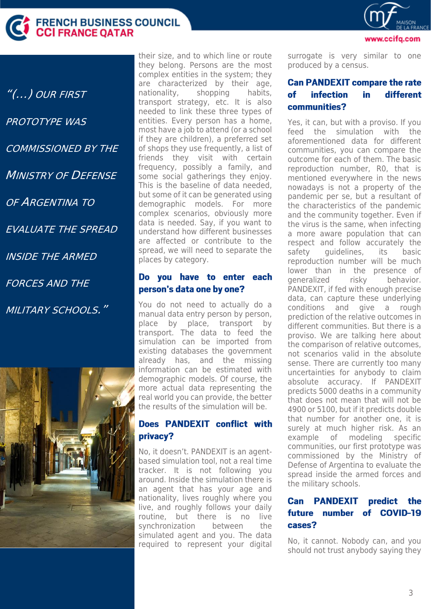

"(…) OUR FIRST PROTOTYPE WAS COMMISSIONED BY THE MINISTRY OF DEFENSE OF ARGENTINA TO EVALUATE THE SPREAD INSIDE THE ARMED FORCES AND THE MILITARY SCHOOLS."



their size, and to which line or route they belong. Persons are the most complex entities in the system; they are characterized by their age, nationality, shopping habits, transport strategy, etc. It is also needed to link these three types of entities. Every person has a home, most have a job to attend (or a school if they are children), a preferred set of shops they use frequently, a list of friends they visit with certain frequency, possibly a family, and some social gatherings they enjoy. This is the baseline of data needed, but some of it can be generated using demographic models. For more complex scenarios, obviously more data is needed. Say, if you want to understand how different businesses are affected or contribute to the spread, we will need to separate the places by category.

## Do you have to enter each person's data one by one?

You do not need to actually do a manual data entry person by person, place by place, transport by transport. The data to feed the simulation can be imported from existing databases the government already has, and the missing information can be estimated with demographic models. Of course, the more actual data representing the real world you can provide, the better the results of the simulation will be.

## Does PANDEXIT conflict with privacy?

No, it doesn't. PANDEXIT is an agentbased simulation tool, not a real time tracker. It is not following you around. Inside the simulation there is an agent that has your age and nationality, lives roughly where you live, and roughly follows your daily routine, but there is no live synchronization between the simulated agent and you. The data required to represent your digital surrogate is very similar to one produced by a census.

#### **Can PANDEXIT compare the rate** different of **infection** in. communities?

Yes, it can, but with a proviso. If you feed the simulation with the aforementioned data for different communities, you can compare the outcome for each of them. The basic reproduction number, R0, that is mentioned everywhere in the news nowadays is not a property of the pandemic per se, but a resultant of the characteristics of the pandemic and the community together. Even if the virus is the same, when infecting a more aware population that can respect and follow accurately the safety quidelines, its basic reproduction number will be much lower than in the presence of generalized risky behavior. PANDEXIT, if fed with enough precise data, can capture these underlying conditions and give a rough prediction of the relative outcomes in different communities. But there is a proviso. We are talking here about the comparison of relative outcomes, not scenarios valid in the absolute sense. There are currently too many uncertainties for anybody to claim absolute accuracy. If PANDEXIT predicts 5000 deaths in a community that does not mean that will not be 4900 or 5100, but if it predicts double that number for another one, it is surely at much higher risk. As an example of modeling specific communities, our first prototype was commissioned by the Ministry of Defense of Argentina to evaluate the spread inside the armed forces and the military schools.

#### **PANDEXIT** Can predict the  $of$ **COVID-19** future number cases?

No, it cannot. Nobody can, and you should not trust anybody saying they



www.ccifa.com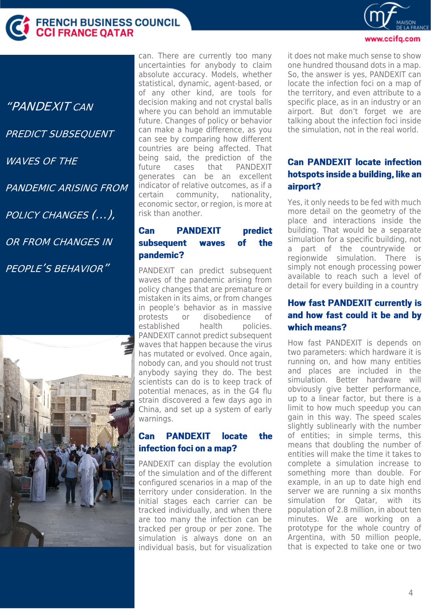

"PANDEXIT CAN PREDICT SUBSEQUENT WAVES OF THE PANDEMIC ARISING FROM POLICY CHANGES (…), OR FROM CHANGES IN PEOPLE'S BEHAVIOR"



can. There are currently too many uncertainties for anybody to claim absolute accuracy. Models, whether statistical, dynamic, agent-based, or of any other kind, are tools for decision making and not crystal balls where you can behold an immutable future. Changes of policy or behavior can make a huge difference, as you can see by comparing how different countries are being affected. That being said, the prediction of the future cases that PANDEXIT generates can be an excellent indicator of relative outcomes, as if a certain community, nationality, economic sector, or region, is more at risk than another.

#### Can **PANDEXIT** predict subsequent of the waves pandemic?

PANDEXIT can predict subsequent waves of the pandemic arising from policy changes that are premature or mistaken in its aims, or from changes in people's behavior as in massive protests or disobedience of established health policies. PANDEXIT cannot predict subsequent waves that happen because the virus has mutated or evolved. Once again, nobody can, and you should not trust anybody saying they do. The best scientists can do is to keep track of potential menaces, as in the G4 flu strain discovered a few days ago in China, and set up a system of early warnings.

#### **PANDEXIT** the **Can locate** infection foci on a map?

PANDEXIT can display the evolution of the simulation and of the different configured scenarios in a map of the territory under consideration. In the initial stages each carrier can be tracked individually, and when there are too many the infection can be tracked per group or per zone. The simulation is always done on an individual basis, but for visualization

### www.ccifa.com

it does not make much sense to show one hundred thousand dots in a map. So, the answer is yes, PANDEXIT can locate the infection foci on a map of the territory, and even attribute to a specific place, as in an industry or an airport. But don't forget we are talking about the infection foci inside the simulation, not in the real world.

## **Can PANDEXIT locate infection** hotspots inside a building, like an airport?

Yes, it only needs to be fed with much more detail on the geometry of the place and interactions inside the building. That would be a separate simulation for a specific building, not a part of the countrywide or regionwide simulation. There is simply not enough processing power available to reach such a level of detail for every building in a country

## **How fast PANDEXIT currently is** and how fast could it be and by which means?

How fast PANDEXIT is depends on two parameters: which hardware it is running on, and how many entities and places are included in the simulation. Better hardware will obviously give better performance, up to a linear factor, but there is a limit to how much speedup you can gain in this way. The speed scales slightly sublinearly with the number of entities; in simple terms, this means that doubling the number of entities will make the time it takes to complete a simulation increase to something more than double. For example, in an up to date high end server we are running a six months simulation for Qatar, with its population of 2.8 million, in about ten minutes. We are working on a prototype for the whole country of Argentina, with 50 million people, that is expected to take one or two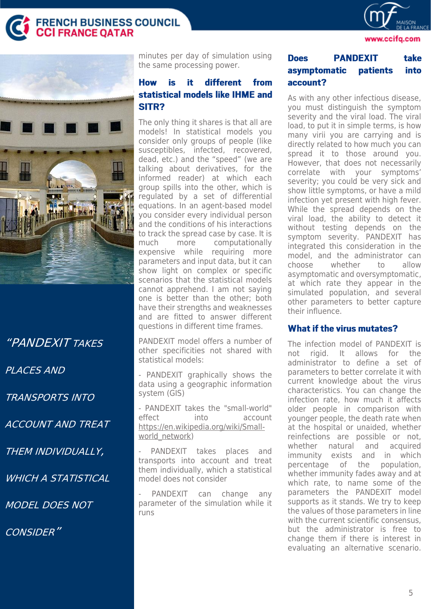**FRENCH BUSINESS COUNCIL<br>CCI FRANCE QATAR** 



www.ccifq.com



"PANDEXIT TAKES PLACES AND TRANSPORTS INTO ACCOUNT AND TREAT THEM INDIVIDUALLY, WHICH A STATISTICAL MODEL DOES NOT CONSIDER"

minutes per day of simulation using the same processing power.

#### different **How is** it from statistical models like IHME and SITR?

The only thing it shares is that all are models! In statistical models you consider only groups of people (like susceptibles, infected, recovered, dead, etc.) and the "speed" (we are talking about derivatives, for the informed reader) at which each group spills into the other, which is regulated by a set of differential equations. In an agent-based model you consider every individual person and the conditions of his interactions to track the spread case by case. It is much more computationally expensive while requiring more parameters and input data, but it can show light on complex or specific scenarios that the statistical models cannot apprehend. I am not saying one is better than the other; both have their strengths and weaknesses and are fitted to answer different questions in different time frames.

PANDEXIT model offers a number of other specificities not shared with statistical models:

- PANDEXIT graphically shows the data using a geographic information system (GIS)

- PANDEXIT takes the "small-world" effect into account [https://en.wikipedia.org/wiki/Small](https://en.wikipedia.org/wiki/Small-world_network)[world\\_network\)](https://en.wikipedia.org/wiki/Small-world_network)

PANDEXIT takes places and transports into account and treat them individually, which a statistical model does not consider

PANDEXIT can change any parameter of the simulation while it runs

#### **Does PANDEXIT** take patients asymptomatic into account?

As with any other infectious disease, you must distinguish the symptom severity and the viral load. The viral load, to put it in simple terms, is how many virii you are carrying and is directly related to how much you can spread it to those around you. However, that does not necessarily correlate with your symptoms' severity; you could be very sick and show little symptoms, or have a mild infection yet present with high fever. While the spread depends on the viral load, the ability to detect it without testing depends on the symptom severity. PANDEXIT has integrated this consideration in the model, and the administrator can choose whether to allow asymptomatic and oversymptomatic, at which rate they appear in the simulated population, and several other parameters to better capture their influence.

### **What if the virus mutates?**

The infection model of PANDEXIT is not rigid. It allows for the administrator to define a set of parameters to better correlate it with current knowledge about the virus characteristics. You can change the infection rate, how much it affects older people in comparison with younger people, the death rate when at the hospital or unaided, whether reinfections are possible or not, whether natural and acquired immunity exists and in which percentage of the population, whether immunity fades away and at which rate, to name some of the parameters the PANDEXIT model supports as it stands. We try to keep the values of those parameters in line with the current scientific consensus but the administrator is free to change them if there is interest in evaluating an alternative scenario.